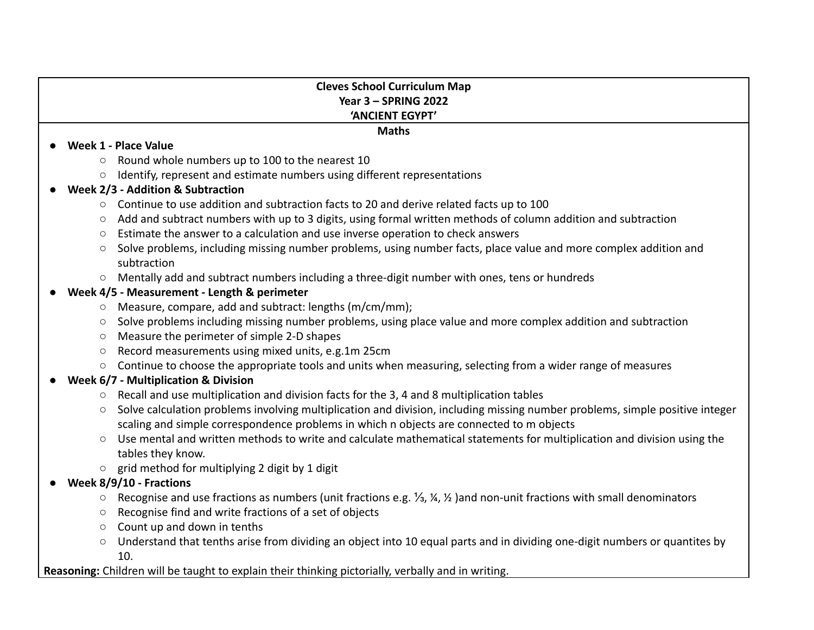### **Cleves School Curriculum Map Year 3 – SPRING 2022 'ANCIENT EGYPT'**

**Maths**

#### ● **Week 1 - Place Value**

- Round whole numbers up to 100 to the nearest 10
- Identify, represent and estimate numbers using different representations

# **● Week 2/3 - Addition & Subtraction**

- Continue to use addition and subtraction facts to 20 and derive related facts up to 100
- Add and subtract numbers with up to 3 digits, using formal written methods of column addition and subtraction
- Estimate the answer to a calculation and use inverse operation to check answers
- Solve problems, including missing number problems, using number facts, place value and more complex addition and subtraction
- Mentally add and subtract numbers including a three-digit number with ones, tens or hundreds

## **● Week 4/5 - Measurement - Length & perimeter**

- Measure, compare, add and subtract: lengths (m/cm/mm);
- Solve problems including missing number problems, using place value and more complex addition and subtraction
- Measure the perimeter of simple 2-D shapes
- Record measurements using mixed units, e.g.1m 25cm
- Continue to choose the appropriate tools and units when measuring, selecting from a wider range of measures
- **● Week 6/7 Multiplication & Division**
	- Recall and use multiplication and division facts for the 3, 4 and 8 multiplication tables
	- Solve calculation problems involving multiplication and division, including missing number problems, simple positive integer scaling and simple correspondence problems in which n objects are connected to m objects
	- **○** Use mental and written methods to write and calculate mathematical statements for multiplication and division using the tables they know.
	- **○** grid method for multiplying 2 digit by 1 digit
- **● Week 8/9/10 Fractions**
	- **○** Recognise and use fractions as numbers (unit fractions e.g. ⅓, ¼, ½ )and non-unit fractions with small denominators
	- **○** Recognise find and write fractions of a set of objects
	- Count up and down in tenths
	- **○** Understand that tenths arise from dividing an object into 10 equal parts and in dividing one-digit numbers or quantites by 10.

**Reasoning:** Children will be taught to explain their thinking pictorially, verbally and in writing.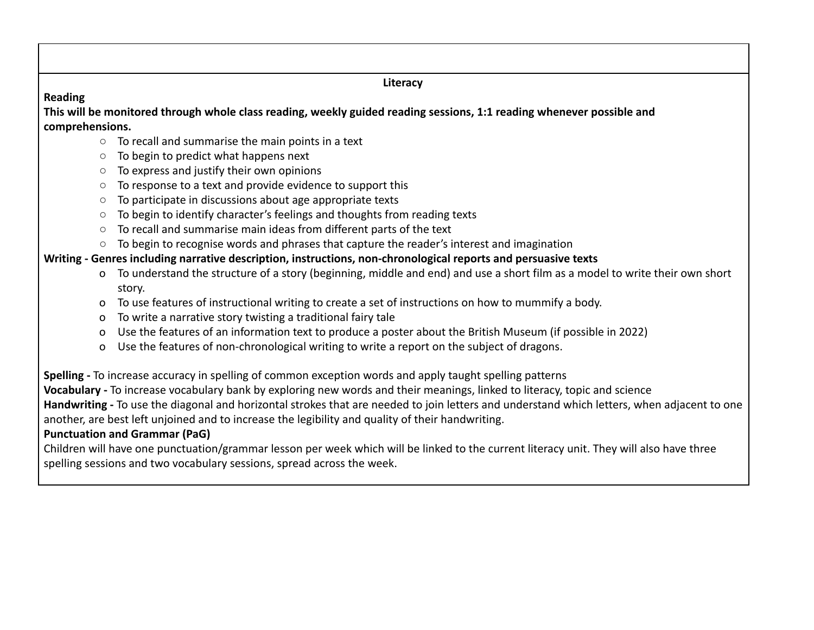**Literacy**

### **Reading**

**This will be monitored through whole class reading, weekly guided reading sessions, 1:1 reading whenever possible and comprehensions.**

- To recall and summarise the main points in a text
- To begin to predict what happens next
- To express and justify their own opinions
- To response to a text and provide evidence to support this
- To participate in discussions about age appropriate texts
- To begin to identify character's feelings and thoughts from reading texts
- To recall and summarise main ideas from different parts of the text
- To begin to recognise words and phrases that capture the reader's interest and imagination

# **Writing - Genres including narrative description, instructions, non-chronological reports and persuasive texts**

- o To understand the structure of a story (beginning, middle and end) and use a short film as a model to write their own short story.
- o To use features of instructional writing to create a set of instructions on how to mummify a body.
- o To write a narrative story twisting a traditional fairy tale
- o Use the features of an information text to produce a poster about the British Museum (if possible in 2022)
- o Use the features of non-chronological writing to write a report on the subject of dragons.

**Spelling -** To increase accuracy in spelling of common exception words and apply taught spelling patterns

**Vocabulary -** To increase vocabulary bank by exploring new words and their meanings, linked to literacy, topic and science

**Handwriting -** To use the diagonal and horizontal strokes that are needed to join letters and understand which letters, when adjacent to one another, are best left unjoined and to increase the legibility and quality of their handwriting.

# **Punctuation and Grammar (PaG)**

Children will have one punctuation/grammar lesson per week which will be linked to the current literacy unit. They will also have three spelling sessions and two vocabulary sessions, spread across the week.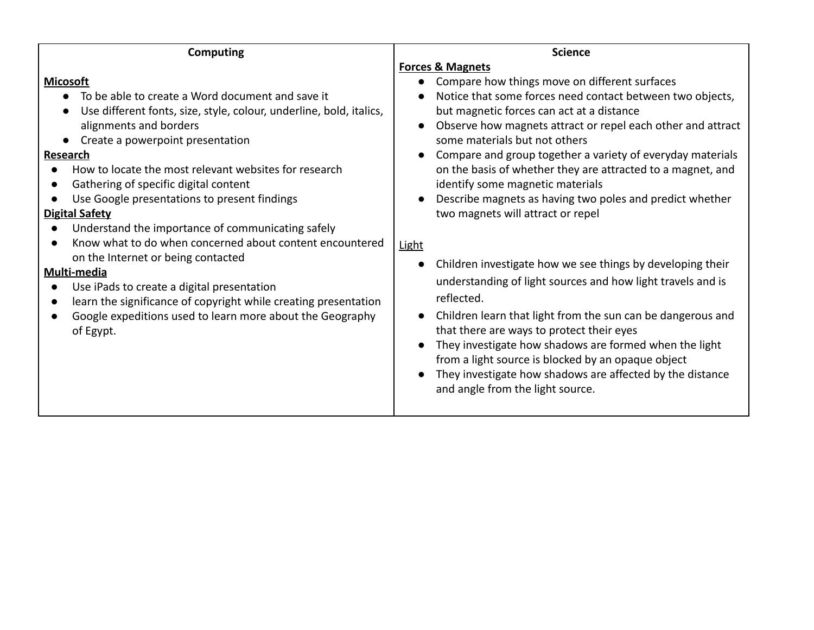| Computing                                                                                                                                                                                                                                                                                             | <b>Science</b>                                                                                                                                                                                                                                                                                                                                                                                                                                                       |
|-------------------------------------------------------------------------------------------------------------------------------------------------------------------------------------------------------------------------------------------------------------------------------------------------------|----------------------------------------------------------------------------------------------------------------------------------------------------------------------------------------------------------------------------------------------------------------------------------------------------------------------------------------------------------------------------------------------------------------------------------------------------------------------|
| <b>Micosoft</b><br>To be able to create a Word document and save it<br>Use different fonts, size, style, colour, underline, bold, italics,<br>alignments and borders<br>Create a powerpoint presentation<br><b>Research</b>                                                                           | <b>Forces &amp; Magnets</b><br>Compare how things move on different surfaces<br>Notice that some forces need contact between two objects,<br>but magnetic forces can act at a distance<br>Observe how magnets attract or repel each other and attract<br>some materials but not others<br>Compare and group together a variety of everyday materials                                                                                                                 |
| How to locate the most relevant websites for research<br>Gathering of specific digital content<br>$\bullet$<br>Use Google presentations to present findings<br><b>Digital Safety</b><br>Understand the importance of communicating safely<br>Know what to do when concerned about content encountered | on the basis of whether they are attracted to a magnet, and<br>identify some magnetic materials<br>Describe magnets as having two poles and predict whether<br>two magnets will attract or repel<br><b>Light</b>                                                                                                                                                                                                                                                     |
| on the Internet or being contacted<br>Multi-media<br>Use iPads to create a digital presentation<br>learn the significance of copyright while creating presentation<br>$\bullet$<br>Google expeditions used to learn more about the Geography<br>$\bullet$<br>of Egypt.                                | Children investigate how we see things by developing their<br>understanding of light sources and how light travels and is<br>reflected.<br>Children learn that light from the sun can be dangerous and<br>that there are ways to protect their eyes<br>They investigate how shadows are formed when the light<br>from a light source is blocked by an opaque object<br>They investigate how shadows are affected by the distance<br>and angle from the light source. |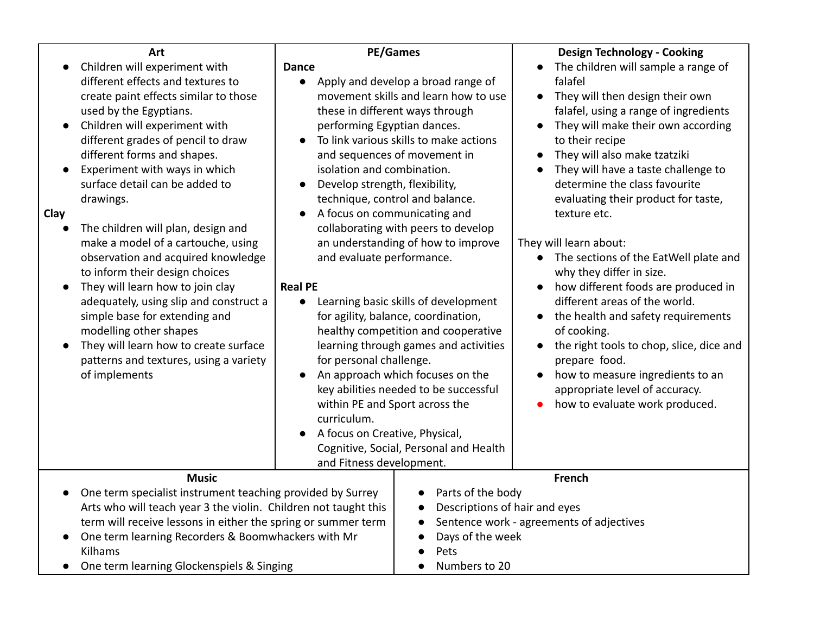| Art                                                                                                                                                                                                                                                                                                                                                                                                                                                                                                                                                                                                                                                                                                                                                            | <b>PE/Games</b>                                                                                                                                                                                                                                                                                                                                                                                                                                                                                                                                                                                                                                                                                                                                                                                                                                                                                                                                    | <b>Design Technology - Cooking</b>                                                                                                                                                                                                                                                                                                                                                                                                                                                                                                                                                                                                                                                                                                                                            |
|----------------------------------------------------------------------------------------------------------------------------------------------------------------------------------------------------------------------------------------------------------------------------------------------------------------------------------------------------------------------------------------------------------------------------------------------------------------------------------------------------------------------------------------------------------------------------------------------------------------------------------------------------------------------------------------------------------------------------------------------------------------|----------------------------------------------------------------------------------------------------------------------------------------------------------------------------------------------------------------------------------------------------------------------------------------------------------------------------------------------------------------------------------------------------------------------------------------------------------------------------------------------------------------------------------------------------------------------------------------------------------------------------------------------------------------------------------------------------------------------------------------------------------------------------------------------------------------------------------------------------------------------------------------------------------------------------------------------------|-------------------------------------------------------------------------------------------------------------------------------------------------------------------------------------------------------------------------------------------------------------------------------------------------------------------------------------------------------------------------------------------------------------------------------------------------------------------------------------------------------------------------------------------------------------------------------------------------------------------------------------------------------------------------------------------------------------------------------------------------------------------------------|
| Children will experiment with<br>different effects and textures to<br>create paint effects similar to those<br>used by the Egyptians.<br>Children will experiment with<br>$\bullet$<br>different grades of pencil to draw<br>different forms and shapes.<br>Experiment with ways in which<br>surface detail can be added to<br>drawings.<br>Clay<br>The children will plan, design and<br>make a model of a cartouche, using<br>observation and acquired knowledge<br>to inform their design choices<br>They will learn how to join clay<br>$\bullet$<br>adequately, using slip and construct a<br>simple base for extending and<br>modelling other shapes<br>They will learn how to create surface<br>patterns and textures, using a variety<br>of implements | <b>Dance</b><br>Apply and develop a broad range of<br>movement skills and learn how to use<br>these in different ways through<br>performing Egyptian dances.<br>To link various skills to make actions<br>and sequences of movement in<br>isolation and combination.<br>Develop strength, flexibility,<br>technique, control and balance.<br>A focus on communicating and<br>$\bullet$<br>collaborating with peers to develop<br>an understanding of how to improve<br>and evaluate performance.<br><b>Real PE</b><br>Learning basic skills of development<br>for agility, balance, coordination,<br>healthy competition and cooperative<br>learning through games and activities<br>for personal challenge.<br>An approach which focuses on the<br>key abilities needed to be successful<br>within PE and Sport across the<br>curriculum.<br>A focus on Creative, Physical,<br>Cognitive, Social, Personal and Health<br>and Fitness development. | The children will sample a range of<br>falafel<br>They will then design their own<br>$\bullet$<br>falafel, using a range of ingredients<br>They will make their own according<br>$\bullet$<br>to their recipe<br>They will also make tzatziki<br>They will have a taste challenge to<br>determine the class favourite<br>evaluating their product for taste,<br>texture etc.<br>They will learn about:<br>The sections of the EatWell plate and<br>why they differ in size.<br>how different foods are produced in<br>different areas of the world.<br>the health and safety requirements<br>of cooking.<br>the right tools to chop, slice, dice and<br>prepare food.<br>how to measure ingredients to an<br>appropriate level of accuracy.<br>how to evaluate work produced. |
| <b>Music</b><br>One term specialist instrument teaching provided by Surrey<br>$\bullet$                                                                                                                                                                                                                                                                                                                                                                                                                                                                                                                                                                                                                                                                        | Parts of the body<br>$\bullet$                                                                                                                                                                                                                                                                                                                                                                                                                                                                                                                                                                                                                                                                                                                                                                                                                                                                                                                     | <b>French</b>                                                                                                                                                                                                                                                                                                                                                                                                                                                                                                                                                                                                                                                                                                                                                                 |
| Arts who will teach year 3 the violin. Children not taught this<br>term will receive lessons in either the spring or summer term                                                                                                                                                                                                                                                                                                                                                                                                                                                                                                                                                                                                                               | Descriptions of hair and eyes<br>$\bullet$<br>$\bullet$                                                                                                                                                                                                                                                                                                                                                                                                                                                                                                                                                                                                                                                                                                                                                                                                                                                                                            | Sentence work - agreements of adjectives                                                                                                                                                                                                                                                                                                                                                                                                                                                                                                                                                                                                                                                                                                                                      |
| One term learning Recorders & Boomwhackers with Mr<br>Kilhams                                                                                                                                                                                                                                                                                                                                                                                                                                                                                                                                                                                                                                                                                                  | Days of the week<br>$\bullet$<br>Pets<br>$\bullet$                                                                                                                                                                                                                                                                                                                                                                                                                                                                                                                                                                                                                                                                                                                                                                                                                                                                                                 |                                                                                                                                                                                                                                                                                                                                                                                                                                                                                                                                                                                                                                                                                                                                                                               |

● Numbers to 20

● One term learning Glockenspiels & Singing